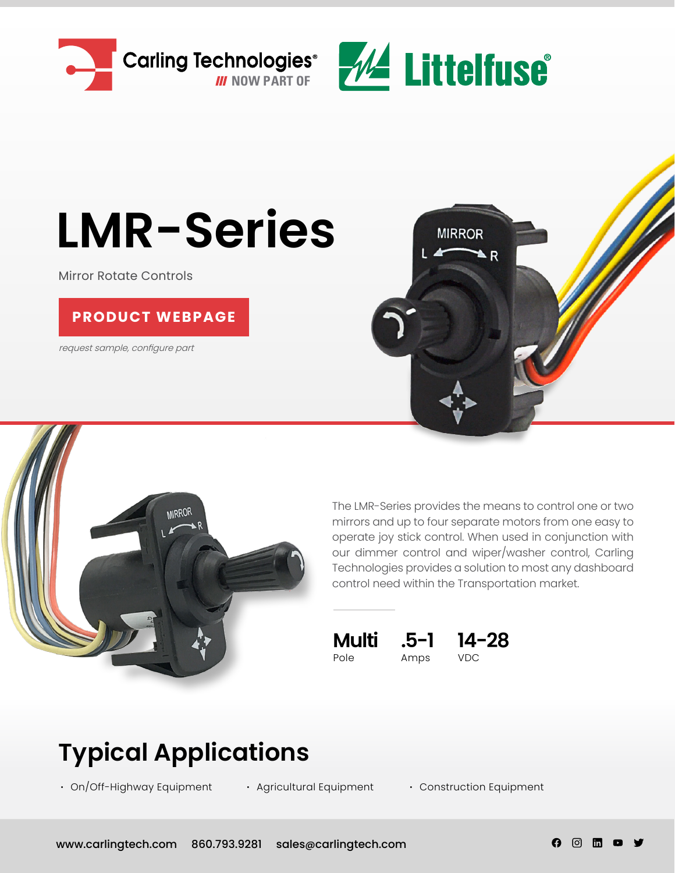



# **LMR-Series**

Mirror Rotate Controls

### **[PRODUCT WEBPAGE](https://www.carlingtech.com/controls-lmr-series)**

request sample, configure part





The LMR-Series provides the means to control one or two mirrors and up to four separate motors from one easy to operate joy stick control. When used in conjunction with our dimmer control and wiper/washer control, Carling Technologies provides a solution to most any dashboard control need within the Transportation market.

Pole Amps VDC



**Typical Applications**

**∙** On/Off-Highway Equipment

**∙** Agricultural Equipment **∙** Construction Equipment

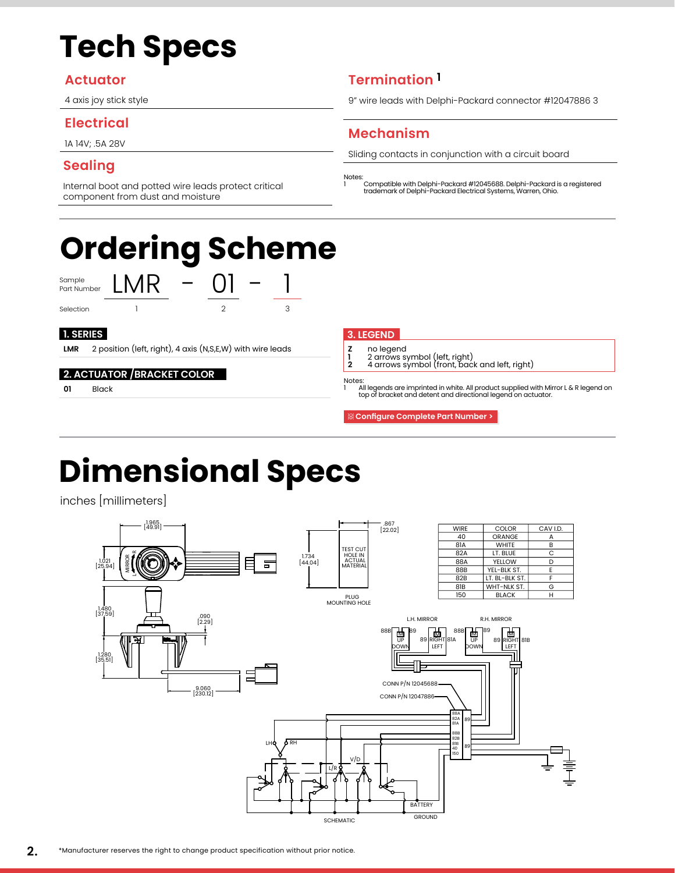# **Tech Specs**

### **Actuator**

4 axis joy stick style

### **Electrical**

1A 14V; .5A 28V

## **Sealing**

Internal boot and potted wire leads protect critical component from dust and moisture

# **Ordering Scheme**

Sample<br>Part Number





Selection 1 2 3

**LMR** 2 position (left, right), 4 axis (N,S,E,W) with wire leads

#### **2. ACTUATOR /BRACKET COLOR**

LMR

**01** Black

# **Termination 1**

9" wire leads with Delphi-Packard connector #12047886 3

# **Mechanism**

Sliding contacts in conjunction with a circuit board

Notes: 1 Compatible with Delphi-Packard #12045688. Delphi-Packard is a registered trademark of Delphi-Packard Electrical Systems, Warren, Ohio.

#### **1. SERIES 3. LEGEND**

- 
- **Z** no legend<br> **1** 2 arrows s<sup>1</sup><br> **2** 4 arrows s<sup>1</sup> **<sup>1</sup>** 2 arrows symbol (left, right) **<sup>2</sup>** 4 arrows symbol (front, back and left, right)

#### Notes:

1 All legends are imprinted in white. All product supplied with Mirror L & R legend on top of bracket and detent and directional legend on actuator.

 **[Configure Complete Part Number >](https://cfgwebprd.carlingtech.com/CI/series/BC)**

# **Dimensional Specs**

inches [millimeters]